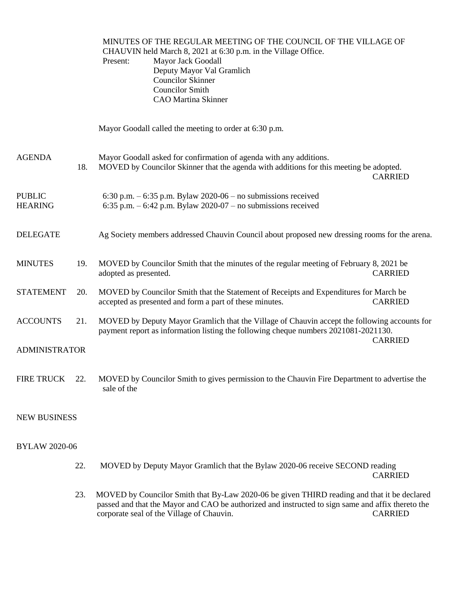MINUTES OF THE REGULAR MEETING OF THE COUNCIL OF THE VILLAGE OF CHAUVIN held March 8, 2021 at 6:30 p.m. in the Village Office. Present: Mayor Jack Goodall Deputy Mayor Val Gramlich Councilor Skinner Councilor Smith CAO Martina Skinner

Mayor Goodall called the meeting to order at 6:30 p.m.

| <b>AGENDA</b>                   | 18. | Mayor Goodall asked for confirmation of agenda with any additions.<br>MOVED by Councilor Skinner that the agenda with additions for this meeting be adopted.                        | <b>CARRIED</b> |  |  |
|---------------------------------|-----|-------------------------------------------------------------------------------------------------------------------------------------------------------------------------------------|----------------|--|--|
| <b>PUBLIC</b><br><b>HEARING</b> |     | 6:30 p.m. $-$ 6:35 p.m. Bylaw 2020-06 $-$ no submissions received<br>6:35 p.m. $-6:42$ p.m. Bylaw 2020-07 – no submissions received                                                 |                |  |  |
| <b>DELEGATE</b>                 |     | Ag Society members addressed Chauvin Council about proposed new dressing rooms for the arena.                                                                                       |                |  |  |
| <b>MINUTES</b>                  | 19. | MOVED by Councilor Smith that the minutes of the regular meeting of February 8, 2021 be<br>adopted as presented.                                                                    | <b>CARRIED</b> |  |  |
| <b>STATEMENT</b>                | 20. | MOVED by Councilor Smith that the Statement of Receipts and Expenditures for March be<br>accepted as presented and form a part of these minutes.                                    | <b>CARRIED</b> |  |  |
| <b>ACCOUNTS</b>                 | 21. | MOVED by Deputy Mayor Gramlich that the Village of Chauvin accept the following accounts for<br>payment report as information listing the following cheque numbers 2021081-2021130. | <b>CARRIED</b> |  |  |
| <b>ADMINISTRATOR</b>            |     |                                                                                                                                                                                     |                |  |  |
| <b>FIRE TRUCK</b>               | 22. | MOVED by Councilor Smith to gives permission to the Chauvin Fire Department to advertise the<br>sale of the                                                                         |                |  |  |

## NEW BUSINESS

## BYLAW 2020-06

- 22. MOVED by Deputy Mayor Gramlich that the Bylaw 2020-06 receive SECOND reading CARRIED
- 23. MOVED by Councilor Smith that By-Law 2020-06 be given THIRD reading and that it be declared passed and that the Mayor and CAO be authorized and instructed to sign same and affix thereto the corporate seal of the Village of Chauvin. CARRIED